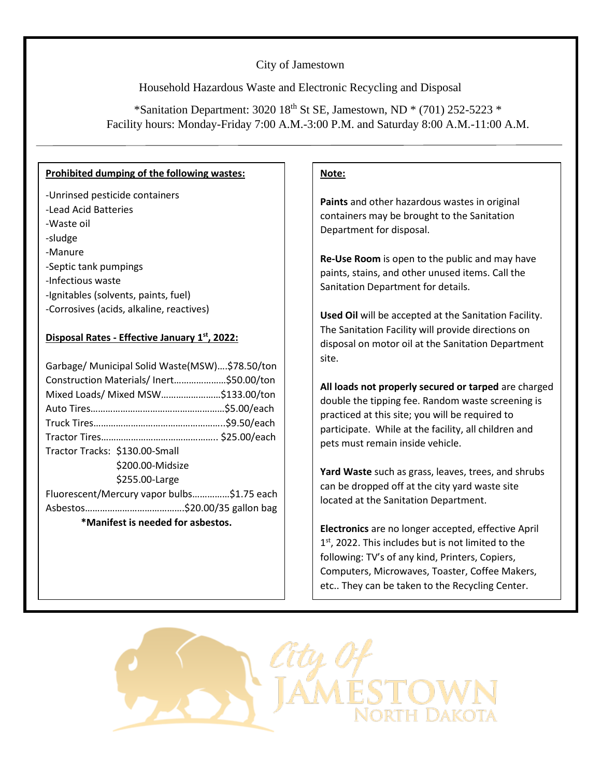# City of Jamestown

Household Hazardous Waste and Electronic Recycling and Disposal

\*Sanitation Department:  $3020\,18^{th}$  St SE, Jamestown, ND \* (701) 252-5223 \* Facility hours: Monday-Friday 7:00 A.M.-3:00 P.M. and Saturday 8:00 A.M.-11:00 A.M.

#### **Prohibited dumping of the following wastes:**

- -Unrinsed pesticide containers -Lead Acid Batteries -Waste oil -sludge -Manure -Septic tank pumpings -Infectious waste -Ignitables (solvents, paints, fuel)
- -Corrosives (acids, alkaline, reactives)

## **Disposal Rates - Effective January 1st, 2022:**

| Garbage/ Municipal Solid Waste(MSW)\$78.50/ton |  |  |
|------------------------------------------------|--|--|
| Construction Materials/Inert\$50.00/ton        |  |  |
| Mixed Loads/ Mixed MSW\$133.00/ton             |  |  |
|                                                |  |  |
|                                                |  |  |
|                                                |  |  |
| Tractor Tracks: \$130.00-Small                 |  |  |
| \$200.00-Midsize                               |  |  |
| \$255.00-Large                                 |  |  |
| Fluorescent/Mercury vapor bulbs\$1.75 each     |  |  |
|                                                |  |  |
| *Manifest is needed for asbestos.              |  |  |

## **Note:**

**Paints** and other hazardous wastes in original containers may be brought to the Sanitation Department for disposal.

**Re-Use Room** is open to the public and may have paints, stains, and other unused items. Call the Sanitation Department for details.

**Used Oil** will be accepted at the Sanitation Facility. The Sanitation Facility will provide directions on disposal on motor oil at the Sanitation Department site.

**All loads not properly secured or tarped** are charged double the tipping fee. Random waste screening is practiced at this site; you will be required to participate. While at the facility, all children and pets must remain inside vehicle.

**Yard Waste** such as grass, leaves, trees, and shrubs can be dropped off at the city yard waste site located at the Sanitation Department.

**Electronics** are no longer accepted, effective April 1<sup>st</sup>, 2022. This includes but is not limited to the following: TV's of any kind, Printers, Copiers, Computers, Microwaves, Toaster, Coffee Makers, etc.. They can be taken to the Recycling Center.